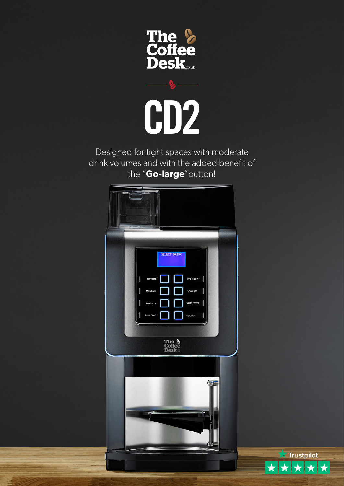



Designed for tight spaces with moderate drink volumes and with the added benefit of the "**Go-large**"button!



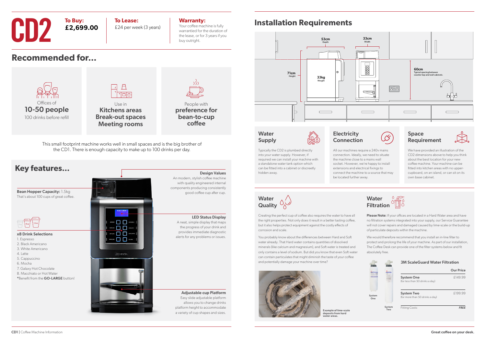**Recommended for...**

## **Installation Requirements**



Use in Kitchens areas Break-out spaces Meeting rooms

People with preference for bean-to-cup coffee

### LED Status Display

Design Values

A neat, simple display that maps the progress of your drink and provides immediate diagnostic alerts for any problems or issues.



Adjustable cup Platform Easy slide adjustable platform allows you to change drinks platform height to accommodate a variety of cup shapes and sizes.

with quality engineered internal components producing consistently good coffee cup after cup.

### **Water** Supply





This small footprint machine works well in small spaces and is the big brother of the CD1. There is enough capacity to make up to 100 drinks per day.



£24 per week (3 years)

### **Warranty:**

Please Note: If your offices are located in a Hard Water area and have no filtration systems integrated into your supply, our Service Guarantee will not cover repairs and damaged caused by lime-scale or the build-up of particulate deposits within the machine.

Your coffee machine is fully warrantied for the duration of the lease, or for 3 years if you buy outright.

**To Buy:**



# **CD2 To Buy:**<br>**E2,699.00 E24 per wee**

**£2,699.00**

### **Electricity** Connection

Typically the CD2 is plumbed directly into your water supply. However, if required we can install your machine with a standalone water tank option which can be fitted into a cabinet or discreetly hidden away.





We have provided an illustration of the CD2 dimensions above to help you think about the best location for your new coffee machine. Your machine can be fitted into kitchen areas with no uppercupboard, on an island, or can sit on its own base cabinet.

Creating the perfect cup of coffee also requires the water to have all the right properties. Not only does it result in a better tasting coffee, but it also helps protect equipment against the costly effects of corrosion and scale.

You probably know about the differences between Hard and Soft water already. That Hard water contains quantities of dissolved minerals (like calcium and magnesium), and Soft water is treated and only contains a level of sodium. But did you know that even Soft water can contain particulates that might diminish the taste of your coffee and potentially damage your machine over time?





 $\sqrt{2}$ 

**Silver** 

We would therefore recommend that you install an in-line filter to protect and prolong the life of your machine. As part of our installation, The Coffee Desk can provide one of the filter systems below and fit absolutely free.

3M ScaleGuard Water Filtration

|               |               |                                                      | <b>Our Price</b> |
|---------------|---------------|------------------------------------------------------|------------------|
|               |               | <b>System One</b><br>(for less than 50 drinks a day) | £149.99          |
| System<br>One |               | <b>System Two</b><br>(for more than 50 drinks a day) | £199.99          |
|               | System<br>Two | <b>Fitting Costs:</b>                                | <b>FREE</b>      |

All our machines require a 240v mains connection. Ideally, we need to situate the machine close to a mains wall socket. However, we're happy to install extensions and electrical fixings to connect the machine to a source that may be located further away.





Example of lime-scale deposits from hard water areas.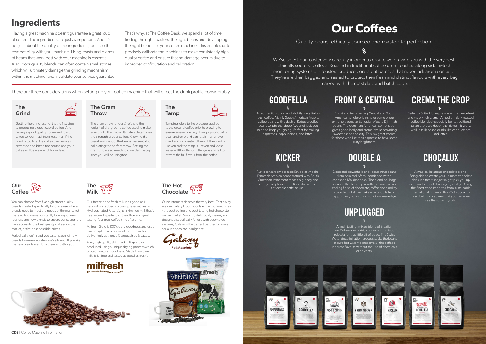We've select our roaster very carefully in order to ensure we provide you with the very best, ethically sourced coffees. Roasted in traditional coffee drum roasters along side hi-tech monitoring systems our roasters produce consistent batches that never lack aroma or taste. They're are then bagged and sealed to protect their fresh and distinct flavours with every bag marked with the roast date and batch code.

## **Our Coffees**

Quality beans, ethically sourced and roasted to perfection.

 $\mathbf{Q}$ 

Perfectly Suited for espressos with an excellent and visibly rich crema. A medium dark roasted coffee blended especially for its traditional Italian espresso deep roast flavour. It works well in milk-based drinks like cappuccinos and lattes.

## **CREMA THE CROP**

Bright and fruity pairing Central and South American single-origins, plus some of our extremely popular Ethiopian Mocha Djimmah beans. The dominant American combination gives good body and crema, while providing sweetness and acidity. This is a great choice for those who like their espresso to have some fruity brightness.

> A magical luxurious chocolate blend. Being able to create your ultimate chocolate drink is a treat that just might pick you up even on the most challenging of days. Using the finest coco imported from sustainable international growers, this 25% cocoa mix is so lovingly prepared that you can even see the sugar crystals.

An authentic, strong and slightly spicy Italian roast coffee. Mainly South American Arabica coffee beans with a dash of Robusta coffee beans to add that deep favourful kick you need to keep you going. Perfect for making espressos, cappuccinos, and lattes.

## **GOODFELLA**

Rustic tones from a classic Ethiopian Mocha. Djimmah Arabica beans married with South American refinement means big body and earthy, nutty tones. The Robusta means a noticeable caffeine kick!

## **FRONT & CENTRAL**

A fresh tasting, mixed blend of Brazilian and Colombian arabica beans with a hint of robusta for that little bit of edge. The Swiss Water decaffeination process soaks the beans in pure hot water to preserve all the coffee's inherent flavours without the use of chemicals or solvents.



## **KICKER**

## **UNPLUGGED**

Deep and powerful blend, containing beans

from Asia and Africa, combined with a Monsoon Malabar bean. The blend has bags of crema that leaves you with an almost neverending finish of chocolate, toffee and smokey spice. In milk it can make a fantastic latte or cappuccino, but with a distinct smokey edge.

## **DOUBLE A**







### The Grind

Getting the grind just right is the first step to producing a great cup of coffee. And having a good quality coffee and roast suited to your machine is essential. If the grind is too fine, the coffee can be overextracted and bitter, too course and your coffee will be weak and flavourless.



Tamping refers to the pressure applied to the ground coffee prior to brewing to ensure an even density. Using a poor quality bean and/or blend can result in an uneven grind and inconsistent throw. If the grind is uneven and the tamp is uneven and loose, water will flow through the gaps and fail to extract the full flavour from the coffee.



You can choose from five high street quality blends created specifically for office use where blends need to meet the needs of the many, not the few. And we're constantly looking for new roasters and new blends to ensure our customers have access to the best quality coffees on the market, at the best possible prices.

Periodically we'll send you taster packs of new blends form new roasters we've found. If you like the new blends we'll buy them in just for you!



Our freeze dried fresh milk is as good as it gets with no added colours, preservatives or Hydrogenated Fats. It's just skimmed milk that's freeze dried - perfect for the office and great tasting, fuss free, coffee time after time.

Milfresh Gold is 100% dairy goodness and used as a complete replacement for fresh milk to deliver truly authentic Cappuccinos & Lattes.

Pure, high quality skimmed milk granules, produced using a unique drying process which protects natural goodness. Made from pure milk, is fat free and tastes 'as good as fresh'.





**Chocolate** 

The Hot

Our customers deserve the very best. That's why we use Galaxy Hot Chocolate in all our machines - the best selling and best tasting hot chocolate on the market. Smooth, deliciously creamy and designed specifically for use with automated systems, Galaxy is the perfect partner for some serious chocolate indulgence.





## **Ingredients**

Having a great machine doesn't guarantee a great cup of coffee. The ingredients are just as important. And it's not just about the quality of the ingredients, but also their compatibility with your machine. Using roasts and blends of beans that work best with your machine is essential. Also, poor quality blends can often contain small stones which will ultimately damage the grinding mechanism within the machine, and invalidate your service guarantee. That's why, at The Coffee Desk, we spend a lot of time finding the right roasters, the right beans and developing the right blends for your coffee machine. This enables us to precisely calibrate the machines to make consistently high quality coffee and ensure that no damage occurs due to improper configuration and calibration.

There are three considerations when setting up your coffee machine that will effect the drink profile considerably.